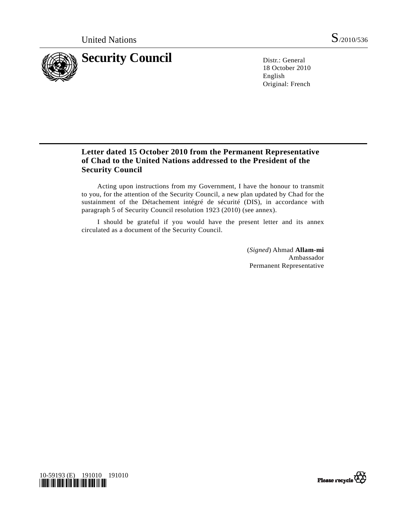

18 October 2010 English Original: French

# **Letter dated 15 October 2010 from the Permanent Representative of Chad to the United Nations addressed to the President of the Security Council**

 Acting upon instructions from my Government, I have the honour to transmit to you, for the attention of the Security Council, a new plan updated by Chad for the sustainment of the Détachement intégré de sécurité (DIS), in accordance with paragraph 5 of Security Council resolution 1923 (2010) (see annex).

 I should be grateful if you would have the present letter and its annex circulated as a document of the Security Council.

> (*Signed*) Ahmad **Allam-mi** Ambassador Permanent Representative



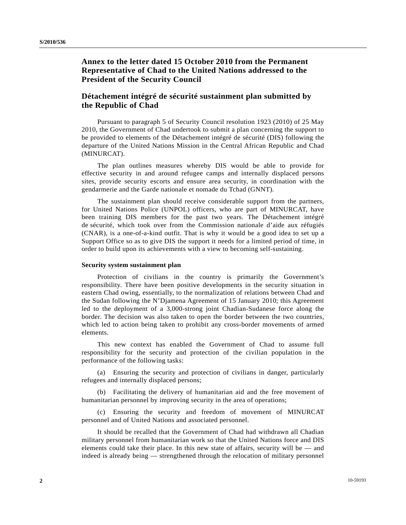## **Annex to the letter dated 15 October 2010 from the Permanent Representative of Chad to the United Nations addressed to the President of the Security Council**

### **Détachement intégré de sécurité sustainment plan submitted by the Republic of Chad**

 Pursuant to paragraph 5 of Security Council resolution 1923 (2010) of 25 May 2010, the Government of Chad undertook to submit a plan concerning the support to be provided to elements of the Détachement intégré de sécurité (DIS) following the departure of the United Nations Mission in the Central African Republic and Chad (MINURCAT).

 The plan outlines measures whereby DIS would be able to provide for effective security in and around refugee camps and internally displaced persons sites, provide security escorts and ensure area security, in coordination with the gendarmerie and the Garde nationale et nomade du Tchad (GNNT).

 The sustainment plan should receive considerable support from the partners, for United Nations Police (UNPOL) officers, who are part of MINURCAT, have been training DIS members for the past two years. The Détachement intégré de sécurité, which took over from the Commission nationale d'aide aux réfugiés (CNAR), is a one-of-a-kind outfit. That is why it would be a good idea to set up a Support Office so as to give DIS the support it needs for a limited period of time, in order to build upon its achievements with a view to becoming self-sustaining.

#### **Security system sustainment plan**

 Protection of civilians in the country is primarily the Government's responsibility. There have been positive developments in the security situation in eastern Chad owing, essentially, to the normalization of relations between Chad and the Sudan following the N'Djamena Agreement of 15 January 2010; this Agreement led to the deployment of a 3,000-strong joint Chadian-Sudanese force along the border. The decision was also taken to open the border between the two countries, which led to action being taken to prohibit any cross-border movements of armed elements.

 This new context has enabled the Government of Chad to assume full responsibility for the security and protection of the civilian population in the performance of the following tasks:

 (a) Ensuring the security and protection of civilians in danger, particularly refugees and internally displaced persons;

 (b) Facilitating the delivery of humanitarian aid and the free movement of humanitarian personnel by improving security in the area of operations;

 (c) Ensuring the security and freedom of movement of MINURCAT personnel and of United Nations and associated personnel.

 It should be recalled that the Government of Chad had withdrawn all Chadian military personnel from humanitarian work so that the United Nations force and DIS elements could take their place. In this new state of affairs, security will be — and indeed is already being — strengthened through the relocation of military personnel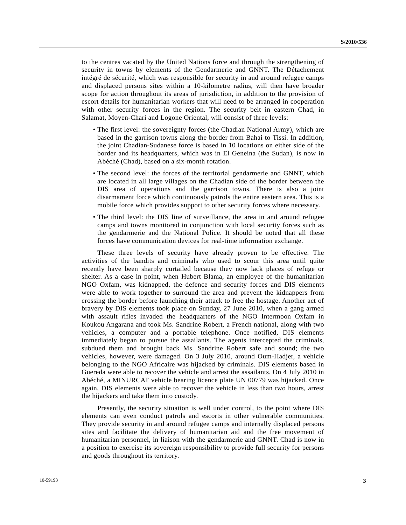to the centres vacated by the United Nations force and through the strengthening of security in towns by elements of the Gendarmerie and GNNT. The Détachement intégré de sécurité, which was responsible for security in and around refugee camps and displaced persons sites within a 10-kilometre radius, will then have broader scope for action throughout its areas of jurisdiction, in addition to the provision of escort details for humanitarian workers that will need to be arranged in cooperation with other security forces in the region. The security belt in eastern Chad, in Salamat, Moyen-Chari and Logone Oriental, will consist of three levels:

- The first level: the sovereignty forces (the Chadian National Army), which are based in the garrison towns along the border from Bahai to Tissi. In addition, the joint Chadian-Sudanese force is based in 10 locations on either side of the border and its headquarters, which was in El Geneina (the Sudan), is now in Abéché (Chad), based on a six-month rotation.
- The second level: the forces of the territorial gendarmerie and GNNT, which are located in all large villages on the Chadian side of the border between the DIS area of operations and the garrison towns. There is also a joint disarmament force which continuously patrols the entire eastern area. This is a mobile force which provides support to other security forces where necessary.
- The third level: the DIS line of surveillance, the area in and around refugee camps and towns monitored in conjunction with local security forces such as the gendarmerie and the National Police. It should be noted that all these forces have communication devices for real-time information exchange.

 These three levels of security have already proven to be effective. The activities of the bandits and criminals who used to scour this area until quite recently have been sharply curtailed because they now lack places of refuge or shelter. As a case in point, when Hubert Blama, an employee of the humanitarian NGO Oxfam, was kidnapped, the defence and security forces and DIS elements were able to work together to surround the area and prevent the kidnappers from crossing the border before launching their attack to free the hostage. Another act of bravery by DIS elements took place on Sunday, 27 June 2010, when a gang armed with assault rifles invaded the headquarters of the NGO Intermoon Oxfam in Koukou Angarana and took Ms. Sandrine Robert, a French national, along with two vehicles, a computer and a portable telephone. Once notified, DIS elements immediately began to pursue the assailants. The agents intercepted the criminals, subdued them and brought back Ms. Sandrine Robert safe and sound; the two vehicles, however, were damaged. On 3 July 2010, around Oum-Hadjer, a vehicle belonging to the NGO Africaire was hijacked by criminals. DIS elements based in Guereda were able to recover the vehicle and arrest the assailants. On 4 July 2010 in Abéché, a MINURCAT vehicle bearing licence plate UN 00779 was hijacked. Once again, DIS elements were able to recover the vehicle in less than two hours, arrest the hijackers and take them into custody.

 Presently, the security situation is well under control, to the point where DIS elements can even conduct patrols and escorts in other vulnerable communities. They provide security in and around refugee camps and internally displaced persons sites and facilitate the delivery of humanitarian aid and the free movement of humanitarian personnel, in liaison with the gendarmerie and GNNT. Chad is now in a position to exercise its sovereign responsibility to provide full security for persons and goods throughout its territory.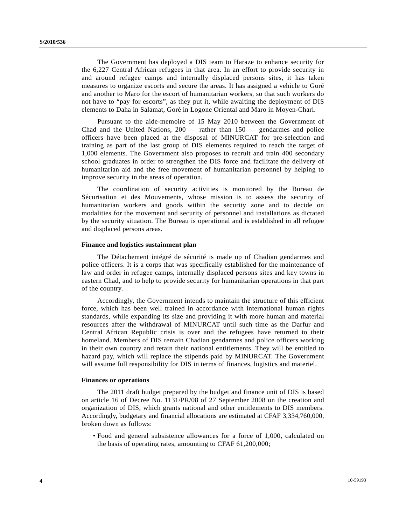The Government has deployed a DIS team to Haraze to enhance security for the 6,227 Central African refugees in that area. In an effort to provide security in and around refugee camps and internally displaced persons sites, it has taken measures to organize escorts and secure the areas. It has assigned a vehicle to Goré and another to Maro for the escort of humanitarian workers, so that such workers do not have to "pay for escorts", as they put it, while awaiting the deployment of DIS elements to Daha in Salamat, Goré in Logone Oriental and Maro in Moyen-Chari.

 Pursuant to the aide-memoire of 15 May 2010 between the Government of Chad and the United Nations,  $200 -$  rather than  $150 -$  gendarmes and police officers have been placed at the disposal of MINURCAT for pre-selection and training as part of the last group of DIS elements required to reach the target of 1,000 elements. The Government also proposes to recruit and train 400 secondary school graduates in order to strengthen the DIS force and facilitate the delivery of humanitarian aid and the free movement of humanitarian personnel by helping to improve security in the areas of operation.

 The coordination of security activities is monitored by the Bureau de Sécurisation et des Mouvements, whose mission is to assess the security of humanitarian workers and goods within the security zone and to decide on modalities for the movement and security of personnel and installations as dictated by the security situation. The Bureau is operational and is established in all refugee and displaced persons areas.

#### **Finance and logistics sustainment plan**

 The Détachement intégré de sécurité is made up of Chadian gendarmes and police officers. It is a corps that was specifically established for the maintenance of law and order in refugee camps, internally displaced persons sites and key towns in eastern Chad, and to help to provide security for humanitarian operations in that part of the country.

 Accordingly, the Government intends to maintain the structure of this efficient force, which has been well trained in accordance with international human rights standards, while expanding its size and providing it with more human and material resources after the withdrawal of MINURCAT until such time as the Darfur and Central African Republic crisis is over and the refugees have returned to their homeland. Members of DIS remain Chadian gendarmes and police officers working in their own country and retain their national entitlements. They will be entitled to hazard pay, which will replace the stipends paid by MINURCAT. The Government will assume full responsibility for DIS in terms of finances, logistics and materiel.

#### **Finances or operations**

 The 2011 draft budget prepared by the budget and finance unit of DIS is based on article 16 of Decree No. 1131/PR/08 of 27 September 2008 on the creation and organization of DIS, which grants national and other entitlements to DIS members. Accordingly, budgetary and financial allocations are estimated at CFAF 3,334,760,000, broken down as follows:

 • Food and general subsistence allowances for a force of 1,000, calculated on the basis of operating rates, amounting to CFAF 61,200,000;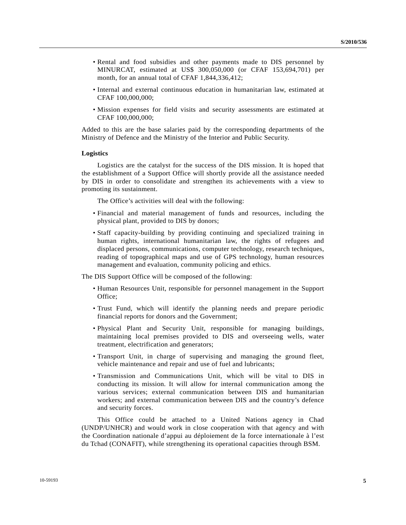- Rental and food subsidies and other payments made to DIS personnel by MINURCAT, estimated at US\$ 300,050,000 (or CFAF 153,694,701) per month, for an annual total of CFAF 1,844,336,412;
- Internal and external continuous education in humanitarian law, estimated at CFAF 100,000,000;
- Mission expenses for field visits and security assessments are estimated at CFAF 100,000,000;

Added to this are the base salaries paid by the corresponding departments of the Ministry of Defence and the Ministry of the Interior and Public Security.

#### **Logistics**

 Logistics are the catalyst for the success of the DIS mission. It is hoped that the establishment of a Support Office will shortly provide all the assistance needed by DIS in order to consolidate and strengthen its achievements with a view to promoting its sustainment.

The Office's activities will deal with the following:

- Financial and material management of funds and resources, including the physical plant, provided to DIS by donors;
- Staff capacity-building by providing continuing and specialized training in human rights, international humanitarian law, the rights of refugees and displaced persons, communications, computer technology, research techniques, reading of topographical maps and use of GPS technology, human resources management and evaluation, community policing and ethics.

The DIS Support Office will be composed of the following:

- Human Resources Unit, responsible for personnel management in the Support Office;
- Trust Fund, which will identify the planning needs and prepare periodic financial reports for donors and the Government;
- Physical Plant and Security Unit, responsible for managing buildings, maintaining local premises provided to DIS and overseeing wells, water treatment, electrification and generators;
- Transport Unit, in charge of supervising and managing the ground fleet, vehicle maintenance and repair and use of fuel and lubricants;
- Transmission and Communications Unit, which will be vital to DIS in conducting its mission. It will allow for internal communication among the various services; external communication between DIS and humanitarian workers; and external communication between DIS and the country's defence and security forces.

 This Office could be attached to a United Nations agency in Chad (UNDP/UNHCR) and would work in close cooperation with that agency and with the Coordination nationale d'appui au déploiement de la force internationale à l'est du Tchad (CONAFIT), while strengthening its operational capacities through BSM.